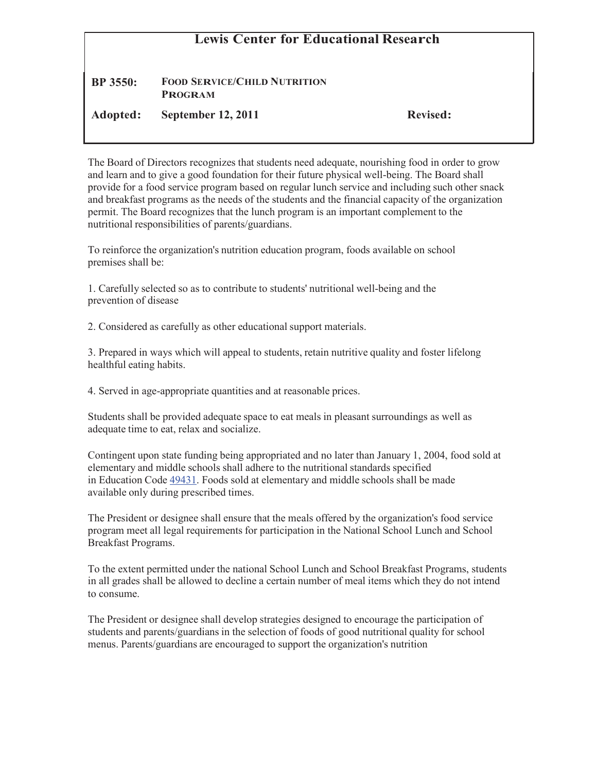## **Lewis Center for Educational Research**

## **BP 3550: FOOD SERVICE/CHILD NUTRITION PROGRAM**

**Adopted: September 12, 2011 Revised:**

The Board of Directors recognizes that students need adequate, nourishing food in order to grow and learn and to give a good foundation for their future physical well-being. The Board shall provide for a food service program based on regular lunch service and including such other snack and breakfast programs as the needs of the students and the financial capacity of the organization permit. The Board recognizes that the lunch program is an important complement to the nutritional responsibilities of parents/guardians.

To reinforce the organization's nutrition education program, foods available on school premises shall be:

1. Carefully selected so as to contribute to students' nutritional well-being and the prevention of disease

2. Considered as carefully as other educational support materials.

3. Prepared in ways which will appeal to students, retain nutritive quality and foster lifelong healthful eating habits.

4. Served in age-appropriate quantities and at reasonable prices.

Students shall be provided adequate space to eat meals in pleasant surroundings as well as adequate time to eat, relax and socialize.

Contingent upon state funding being appropriated and no later than January 1, 2004, food sold at elementary and middle schools shall adhere to the nutritional standards specified in Education Code 49431. Foods sold at elementary and middle schools shall be made available only during prescribed times.

The President or designee shall ensure that the meals offered by the organization's food service program meet all legal requirements for participation in the National School Lunch and School Breakfast Programs.

To the extent permitted under the national School Lunch and School Breakfast Programs, students in all grades shall be allowed to decline a certain number of meal items which they do not intend to consume.

The President or designee shall develop strategies designed to encourage the participation of students and parents/guardians in the selection of foods of good nutritional quality for school menus. Parents/guardians are encouraged to support the organization's nutrition